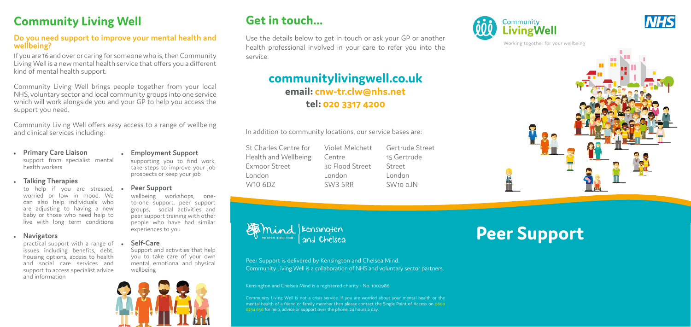## **Get in touch...**

Use the details below to get in touch or ask your GP or another health professional involved in your care to refer you into the service.

## **communitylivingwell.co.uk email: cnw-tr.clw@nhs.net tel: 020 3317 4200**

In addition to community locations, our service bases are:

# **Peer Support**

- St Charles Centre for Health and Wellbeing Exmoor Street London W10 6DZ
- Violet Melchett Centre 30 Flood Street London SW3 5RR





 $\mathbf{r} = \mathbf{r} \cdot \mathbf{r} + \mathbf{r} \cdot \mathbf{r} + \mathbf{r} \cdot \mathbf{r} + \mathbf{r} \cdot \mathbf{r} + \mathbf{r} \cdot \mathbf{r} + \mathbf{r} \cdot \mathbf{r} + \mathbf{r} \cdot \mathbf{r} + \mathbf{r} \cdot \mathbf{r} + \mathbf{r} \cdot \mathbf{r} + \mathbf{r} \cdot \mathbf{r} + \mathbf{r} \cdot \mathbf{r} + \mathbf{r} \cdot \mathbf{r} + \mathbf{r} \cdot \mathbf{r} + \mathbf{r} \cdot \mathbf{r} + \mathbf$ Community Living Well is not a crisis service. If you are worried about your mental health or the mental health of a friend or family member then please contact the Single Point of Access on 0800 0234 650 for help, advice or support over the phone, 24 hours a day.







Working together for your wellbeing



Peer Support is delivered by Kensington and Chelsea Mind. Community Living Well is a collaboration of NHS and voluntary sector partners.

Kensington and Chelsea Mind is a registered charity - No. 1002986

# **Community Living Well**

practical support with a range of issues including benefits, debt, housing options, access to health and social care services and support to access specialist advice and information

### **Do you need support to improve your mental health and wellbeing?**

If you are 16 and over or caring for someone who is, then Community Living Well is a new mental health service that offers you a different kind of mental health support.

Community Living Well brings people together from your local NHS, voluntary sector and local community groups into one service which will work alongside you and your GP to help you access the support you need.

Community Living Well offers easy access to a range of wellbeing and clinical services including:

<sup>z</sup> **Primary Care Liaison** support from specialist mental health workers

### <sup>z</sup> **Talking Therapies**

to help if you are stressed, worried or low in mood. We can also help individuals who are adjusting to having a new baby or those who need help to live with long term conditions

### **•** Navigators

### <sup>z</sup> **Employment Support**

supporting you to find work, take steps to improve your job prospects or keep your job

### **Peer Support**

wellbeing workshops, oneto-one support, peer support groups, social activities and peer support training with other people who have had similar experiences to you

### <sup>z</sup> **Self-Care**

Support and activities that help you to take care of your own mental, emotional and physical wellbeing